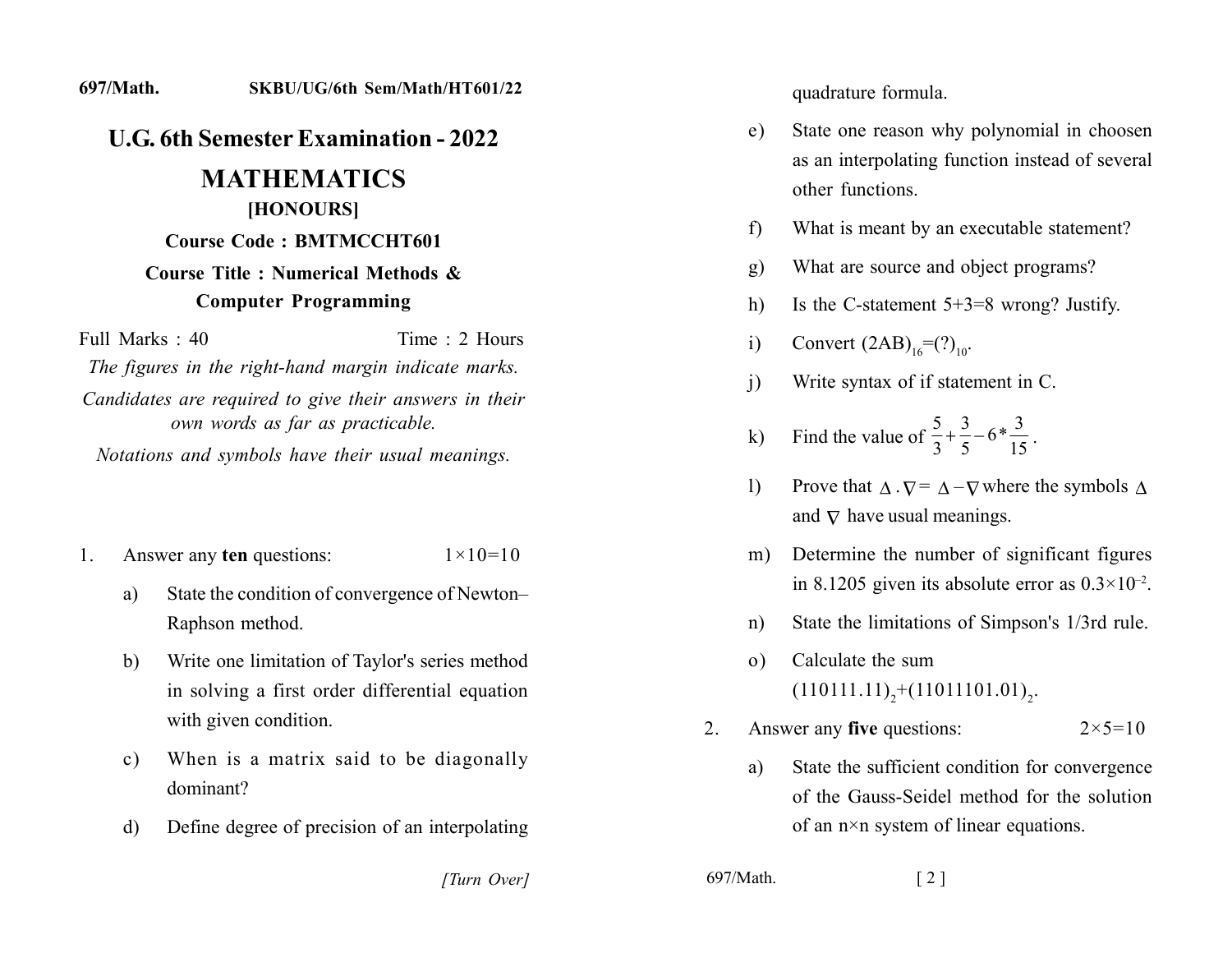#### **......... 2222.22....2 222......22.22.22**

## *<u>L.G.</u>* **6th Semester Examination - 2022.**

# **MATHEMATICS** [HONOURS]

# **Course Code: BMTMCCHT601**

#### **Course Title : Numerical Methods & Computer Programming**

 $Full Marks: 40$   $Time: 2$  Hours

The figures in the right-hand margin indicate marks.

Candidates are required to give their answers in their *own words as far as practicable.* 

*Notations and symbols have their usual meanings.* 

- 1. Answer any **ten** questions:  $1 \times 10 = 10$ 
	- a) State the condition of convergence of Newton-Raphson method.
	- b) Write one limitation of Taylor's series method in solving a first order differential equation with given condition.
	- c) When is a matrix said to be diagonally dominant?
	- d) Define degree of precision of an interpolating

quadrature formula.

- e) State one reason why polynomial in choosen as an interpolating function instead of several other functions
- f) What is meant by an executable statement?
- g) What are source and object programs?
- h) Is the C-statement  $5+3=8$  wrong? Justify.
- i) Convert  $(2AB)_{16} = (?)_{10}$ .
- $\ddot{\textbf{i}}$ ) Write syntax of if statement in C.
- k) Find the value of  $\frac{5}{2} + \frac{3}{5} 6 * \frac{3}{15}$  $\frac{1}{3} + \frac{1}{5} - 6 \cdot \frac{1}{15}$ .
- 1) Prove that  $\Delta \cdot \nabla = \Delta \nabla$  where the symbols  $\Delta$ and  $\nabla$  have usual meanings.
- m) Determine the number of significant figures. in 8.1205 given its absolute error as  $0.3 \times 10^{-2}$ .
- n) State the limitations of Simpson's 1/3rd rule.
- o) Calculate the sum  $(110111.11)<sub>2</sub>+(11011101.01)<sub>2</sub>.$
- 2. Answer any **five** questions:  $2 \times 5 = 10$ 
	- a) State the sufficient condition for convergence of the Gauss-Seidel method for the solution of an  $n \times n$  system of linear equations.

*[2]* [2] *[2] b97/Math.* [2]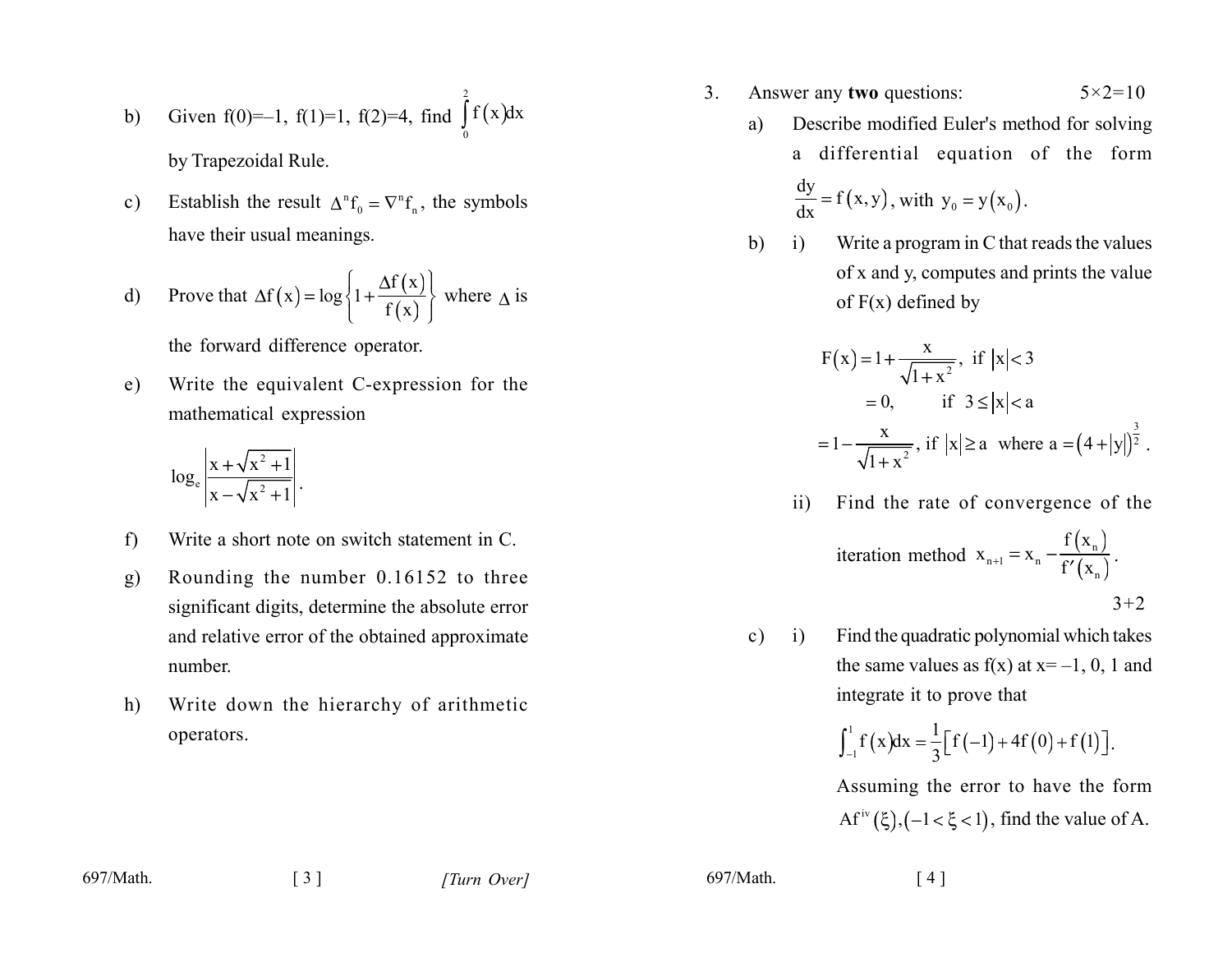b) Given 
$$
f(0)=-1
$$
,  $f(1)=1$ ,  $f(2)=4$ , find  $\int_{0}^{1} f(x)dx$   
by Trapezoidal Rule.

 $\overline{a}$ 

Establish the result  $\Delta^n f_0 = \nabla^n f_n$ , the symbols  $c)$ have their usual meanings.

d) Prove that 
$$
\Delta f(x) = \log \left\{ 1 + \frac{\Delta f(x)}{f(x)} \right\}
$$
 where  $\Delta$  is

the forward difference operator.

Write the equivalent C-expression for the e) mathematical expression

$$
\log_e \left| \frac{x + \sqrt{x^2 + 1}}{x - \sqrt{x^2 + 1}} \right|.
$$

- Write a short note on switch statement in C. f)
- Rounding the number 0.16152 to three  $g)$ significant digits, determine the absolute error and relative error of the obtained approximate number
- Write down the hierarchy of arithmetic  $h)$ operators.
- Answer any two questions:  $5 \times 2 = 10$ 3.
	- Describe modified Euler's method for solving a) a differential equation of the form

$$
\frac{dy}{dx} = f(x, y), \text{ with } y_0 = y(x_0).
$$

 $b)$  $\mathbf{i}$ Write a program in C that reads the values of x and y, computes and prints the value of  $F(x)$  defined by

$$
F(x) = 1 + \frac{x}{\sqrt{1 + x^2}}, \text{ if } |x| < 3
$$
  
= 0, if  $3 \le |x| < a$   
=  $1 - \frac{x}{\sqrt{1 + x^2}}$ , if  $|x| \ge a$  where  $a = (4 + |y|)^{\frac{3}{2}}$ .

Find the rate of convergence of the  $\overline{11}$ 

iteration method 
$$
x_{n+1} = x_n - \frac{f(x_n)}{f'(x_n)}
$$
.

 $3 + 2$ 

Find the quadratic polynomial which takes  $c)$  i) the same values as  $f(x)$  at  $x=-1$ , 0, 1 and integrate it to prove that

$$
\int_{-1}^{1} f(x) dx = \frac{1}{3} \Big[ f(-1) + 4f(0) + f(1) \Big].
$$

Assuming the error to have the form Af<sup>iv</sup> $(\xi)$ ,  $(-1 < \xi < 1)$ , find the value of A.

 $697/Math$